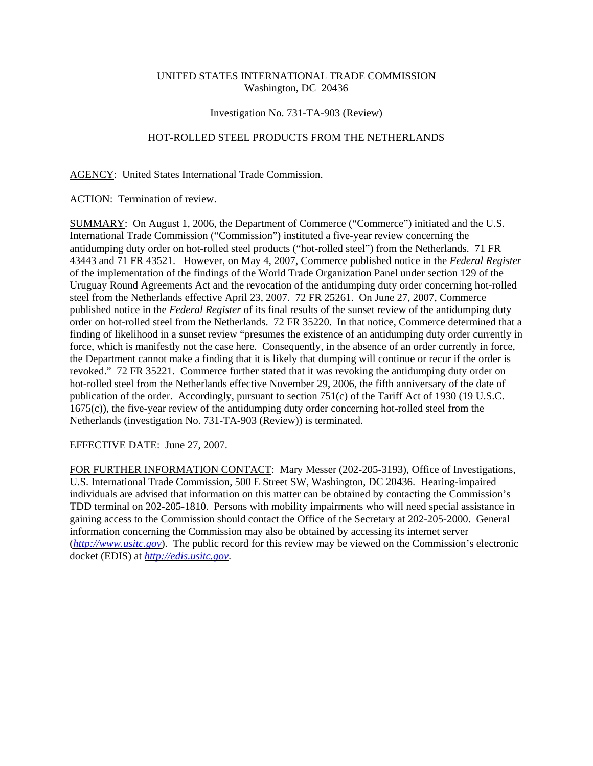# UNITED STATES INTERNATIONAL TRADE COMMISSION Washington, DC 20436

### Investigation No. 731-TA-903 (Review)

## HOT-ROLLED STEEL PRODUCTS FROM THE NETHERLANDS

#### AGENCY: United States International Trade Commission.

ACTION: Termination of review.

SUMMARY: On August 1, 2006, the Department of Commerce ("Commerce") initiated and the U.S. International Trade Commission ("Commission") instituted a five-year review concerning the antidumping duty order on hot-rolled steel products ("hot-rolled steel") from the Netherlands. 71 FR 43443 and 71 FR 43521. However, on May 4, 2007, Commerce published notice in the *Federal Register* of the implementation of the findings of the World Trade Organization Panel under section 129 of the Uruguay Round Agreements Act and the revocation of the antidumping duty order concerning hot-rolled steel from the Netherlands effective April 23, 2007. 72 FR 25261. On June 27, 2007, Commerce published notice in the *Federal Register* of its final results of the sunset review of the antidumping duty order on hot-rolled steel from the Netherlands. 72 FR 35220. In that notice, Commerce determined that a finding of likelihood in a sunset review "presumes the existence of an antidumping duty order currently in force, which is manifestly not the case here. Consequently, in the absence of an order currently in force, the Department cannot make a finding that it is likely that dumping will continue or recur if the order is revoked." 72 FR 35221. Commerce further stated that it was revoking the antidumping duty order on hot-rolled steel from the Netherlands effective November 29, 2006, the fifth anniversary of the date of publication of the order. Accordingly, pursuant to section 751(c) of the Tariff Act of 1930 (19 U.S.C. 1675(c)), the five-year review of the antidumping duty order concerning hot-rolled steel from the Netherlands (investigation No. 731-TA-903 (Review)) is terminated.

### EFFECTIVE DATE: June 27, 2007.

FOR FURTHER INFORMATION CONTACT: Mary Messer (202-205-3193), Office of Investigations, U.S. International Trade Commission, 500 E Street SW, Washington, DC 20436. Hearing-impaired individuals are advised that information on this matter can be obtained by contacting the Commission's TDD terminal on 202-205-1810. Persons with mobility impairments who will need special assistance in gaining access to the Commission should contact the Office of the Secretary at 202-205-2000. General information concerning the Commission may also be obtained by accessing its internet server (*http://www.usitc.gov*). The public record for this review may be viewed on the Commission's electronic docket (EDIS) at *http://edis.usitc.gov*.